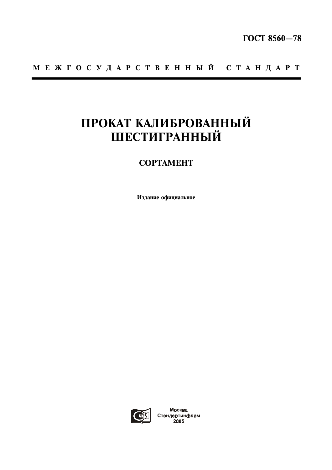# МЕЖГОСУДАРСТВЕННЫЙ СТАНДАРТ

# ПРОКАТ КАЛИБРОВАННЫЙ ШЕСТИГРАННЫЙ

## **COPTAMEHT**

Издание официальное



Москва Стандартинформ<br>2005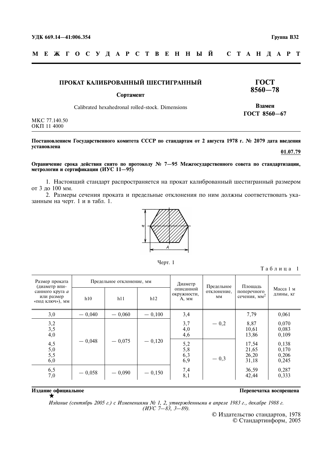**TOCT**  $8560 - 78$ 

Взамен

ГОСТ 8560-67

M E **X I O C Y J A P C T B E H H Ы Й** C T A H *I* A P T

#### ПРОКАТ КАЛИБРОВАННЫЙ ШЕСТИГРАННЫЙ

#### Сортамент

Calibrated hexahedronal rolled-stock. Dimensions

MKC 77.140.50 ОКП 11 4000

#### Постановлением Государственного комитета СССР по стандартам от 2 августа 1978 г. № 2079 дата введения установлена 01.07.79

Ограничение срока действия снято по протоколу № 7-95 Межгосударственного совета по стандартизации, метрологии и сертификации (ИУС 11-95)

1. Настоящий стандарт распространяется на прокат калиброванный шестигранный размером от 3 до 100 мм.

2. Размеры сечения проката и предельные отклонения по ним должны соответствовать указанным на черт. 1 и в табл. 1.



Черт. 1

Таблица 1

| Размер проката<br>(диаметр впи-<br>санного круга а<br>или размер<br>«под ключ»), мм | Предельное отклонение, мм |          |          | Диаметр                           | Предельное        | Площадь                                 |                                  |
|-------------------------------------------------------------------------------------|---------------------------|----------|----------|-----------------------------------|-------------------|-----------------------------------------|----------------------------------|
|                                                                                     | h10                       | h11      | h12      | описанной<br>окружности,<br>A, MM | отклонение,<br>MM | поперечного<br>сечения, мм <sup>2</sup> | Масса 1 м<br>ДЛИНЫ, КГ           |
| 3,0                                                                                 | $-0.040$                  | $-0.060$ | $-0,100$ | 3,4                               |                   | 7,79                                    | 0,061                            |
| 3,2<br>3,5<br>4,0                                                                   |                           |          | $-0,120$ | 3,7<br>4,0<br>4,6                 | $-0,2$            | 8,87<br>10,61<br>13,86                  | 0,070<br>0,083<br>0,109          |
| $4,5$<br>5,0<br>5,5<br>6,0                                                          | $-0.048$                  | $-0,075$ |          | $\frac{5,2}{5,8}$<br>6,3<br>6,9   | $-0,3$            | 17,54<br>21,65<br>26,20<br>31,18        | 0,138<br>0,170<br>0,206<br>0,245 |
| 6,5<br>7,0                                                                          | $-0,058$                  | $-0,090$ | $-0,150$ | 7,4<br>8,1                        |                   | 36,59<br>42,44                          | 0,287<br>0,333                   |

#### Издание официальное

Перепечатка воспрещена

Издание (сентябрь 2005 г.) с Изменениями № 1, 2, утвержденными в апреле 1983 г., декабре 1988 г.<br>(ИУС 7—83, 3—89).

© Издательство стандартов, 1978<br>© Стандартинформ, 2005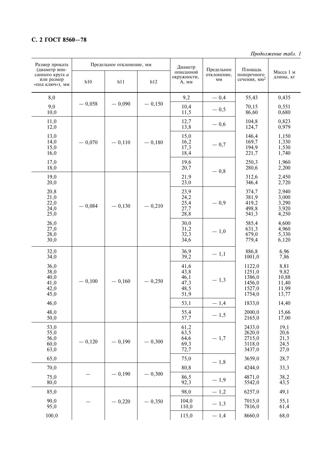## С. 2 ГОСТ 8560-78

Продолжение табл. 1

| Размер проката                                                    | Предельное отклонение, мм |          |              | Диаметр                                      |                                                     | Площадь                                                  |                                                  |
|-------------------------------------------------------------------|---------------------------|----------|--------------|----------------------------------------------|-----------------------------------------------------|----------------------------------------------------------|--------------------------------------------------|
| (диаметр впи-<br>санного круга а<br>или размер<br>«под ключ»), мм | h10                       | h11      | h12          | описанной<br>окружности,<br>A, MM            | Предельное<br>отклонение,<br>$\mathbf{M}\mathbf{M}$ | поперечного<br>сечения, мм <sup>2</sup>                  | Масса 1 м<br>длины, кг                           |
| 8,0                                                               |                           |          |              | 9,2                                          | $-0,4$                                              | 55,43                                                    | 0,435                                            |
| 9,0<br>10,0                                                       | $-0,058$                  | $-0,090$ | $-0,150$     | 10,4<br>11,5                                 | $-0,5$                                              | 70,15<br>86,60                                           | 0,551<br>0,680                                   |
| 11,0<br>12,0                                                      |                           |          |              | 12,7<br>13,8                                 | $-0,6$                                              | 104,8<br>124,7                                           | 0,823<br>0,979                                   |
| 13,0<br>14,0<br>15,0<br>16,0                                      | $-0,070$                  | $-0,110$ | $-0,180$     | 15,0<br>16,2<br>17,3<br>18,4                 | $-0,7$                                              | 146,4<br>169,7<br>194,9<br>221,7                         | 1,150<br>1,330<br>1,530<br>1,740                 |
| 17,0<br>18,0                                                      |                           |          |              | 19,6<br>20,7                                 | $-0,8$                                              | 250,3<br>280,6                                           | 1,960<br>2,200                                   |
| 19,0<br>20,0                                                      |                           |          |              | 21,9<br>23,0                                 |                                                     | 312,6<br>346,4                                           | 2,450<br>2,720                                   |
| 20,8<br>21,0<br>22,0<br>24,0<br>25,0                              | $-0,084$                  | $-0,130$ | $-0,210$     | 23,9<br>24,2<br>25,4<br>27,7<br>28,8         | $-0,9$                                              | 374,7<br>381,9<br>419,2<br>498,8<br>541,3                | 2,940<br>3,000<br>3,290<br>3,920<br>4,250        |
| 26,0<br>27,0<br>28,0<br>30,0                                      |                           |          |              | 30,0<br>31,2<br>32,3<br>34,6                 | $-1,0$                                              | 585,4<br>631,3<br>679,0<br>779,4                         | 4,600<br>4,960<br>5,330<br>6,120                 |
| 32,0<br>34,0                                                      |                           |          |              | 36,9<br>39,2                                 | $-1,1$                                              | 886,8<br>1001,0                                          | 6,96<br>7,86                                     |
| 36,0<br>38,0<br>40,0<br>41,0<br>42,0<br>45,0                      | $-0,100$                  | $-0,160$ | $-0,250$     | 41,6<br>43,8<br>46,1<br>47,3<br>48,5<br>51,9 | $-1,3$                                              | 1122,0<br>1251,0<br>1386,0<br>1456,0<br>1527,0<br>1754,0 | 8,81<br>9,82<br>10,88<br>11,40<br>11,99<br>13,77 |
| 46,0                                                              |                           |          |              | 53,1                                         | $-1,4$                                              | 1833,0                                                   | 14,40                                            |
| 48,0<br>50,0                                                      |                           |          |              | 55,4<br>57,7                                 | $-1,5$                                              | 2000,0<br>2165,0                                         | 15,66<br>17,00                                   |
| 53,0<br>55,0<br>56,0<br>60,0<br>63,0                              | $-0,120$                  | $-0,190$ | $-0,300$     | 61,2<br>63,5<br>64,6<br>69,3<br>72,7         | $-1,7$                                              | 2433,0<br>2620,0<br>2715,0<br>3118,0<br>3437,0           | 19,1<br>20,6<br>21,3<br>24,5<br>27,0             |
| 65,0                                                              |                           |          |              | 75,0                                         | $-1,8$                                              | 3659,0                                                   | 28,7                                             |
| 70,0                                                              |                           |          | $-0,300$     | 80,8                                         |                                                     | 4244,0                                                   | 33,3                                             |
| 75,0<br>80,0                                                      | $-0,190$                  |          | 86,5<br>92,3 | $-1,9$                                       | 4871,0<br>5542,0                                    | 38,2<br>43,5                                             |                                                  |
| 85,0                                                              |                           | $-0,220$ | $-0,350$     | 98,0                                         | $-1,2$                                              | 6257,0                                                   | 49,1                                             |
| 90,0<br>95,0                                                      |                           |          |              | 104,0<br>110,0                               | $-1,3$                                              | 7015,0<br>7816,0                                         | 55,1<br>61,4                                     |
| 100,0                                                             |                           |          |              | 115,0                                        | $-1,4$                                              | 8660,0                                                   | 68,0                                             |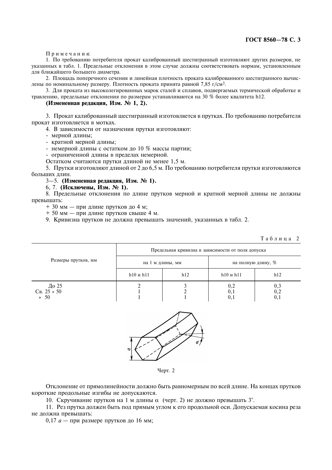#### ГОСТ 8560-78 С. 3

Примечания:

1. По требованию потребителя прокат калиброванный шестигранный изготовляют других размеров, не указанных в табл. 1. Прелельные отклонения в этом случае лолжны соответствовать нормам, установленным для ближайшего большего диаметра.

2. Площадь поперечного сечения и линейная плотность проката калиброванного шестигранного вычислены по номинальному размеру. Плотность проката принята равной 7,85 г/см<sup>3</sup>.

3. Для проката из высоколегированных марок сталей и сплавов, подвергаемых термической обработке и травлению, предельные отклонения по размерам устанавливаются на 30 % более квалитета h12.

#### (Измененная редакция, Изм. № 1, 2).

3. Прокат калиброванный шестигранный изготовляется в прутках. По требованию потребителя прокат изготовляется в мотках.

4. В зависимости от назначения прутки изготовляют:

- мерной длины:

- кратной мерной длины;

- немерной длины с остатком до 10 % массы партии;

- ограниченной длины в пределах немерной.

Остатком считаются прутки длиной не менее 1.5 м.

5. Прутки изготовляют длиной от 2 до 6,5 м. По требованию потребителя прутки изготовляются больших длин.

#### 3-5. (Измененная редакция, Изм. № 1).

6. 7. (Исключены, Изм. № 1).

8. Предельные отклонения по длине прутков мерной и кратной мерной длины не должны превышать:

+ 30 мм - при длине прутков до 4 м;

+ 50 мм - при длине прутков свыше 4 м.

9. Кривизна прутков не должна превышать значений, указанных в табл. 2.

|                                     |                                                   |     |                    | Таблица 2             |  |  |
|-------------------------------------|---------------------------------------------------|-----|--------------------|-----------------------|--|--|
| Размеры прутков, мм                 | Предельная кривизна в зависимости от поля допуска |     |                    |                       |  |  |
|                                     | на 1 м длины, мм                                  |     | на полную длину, % |                       |  |  |
|                                     | $h10$ и $h11$                                     | h12 | $h10$ и $h11$      | h12                   |  |  |
| До 25<br>$CB. 25 * 50$<br>$\ast$ 50 |                                                   |     | 0,2<br>0,1<br>0,1  | $0,3$<br>$0,2$<br>0,1 |  |  |
|                                     |                                                   |     |                    |                       |  |  |



Черт. 2

Отклонение от прямолинейности должно быть равномерным по всей длине. На концах прутков короткие продольные изгибы не допускаются.

10. Скручивание прутков на 1 м длины  $\alpha$  (черт. 2) не должно превышать 3°.

11. Рез прутка должен быть под прямым углом к его продольной оси. Допускаемая косина реза не лолжна превышать:

0.17  $a$  — при размере прутков до 16 мм;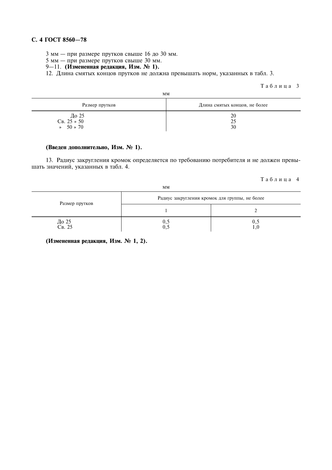#### С. 4 ГОСТ 8560-78

3 мм — при размере прутков свыше 16 до 30 мм.

5 мм — при размере прутков свыше 30 мм.

## 9-11. (Измененная редакция, Изм. № 1).

12. Длина смятых концов прутков не должна превышать норм, указанных в табл. 3.

Таблица 3

| MМ                                                                                    |                               |  |  |  |
|---------------------------------------------------------------------------------------|-------------------------------|--|--|--|
| Размер прутков                                                                        | Длина смятых концов, не более |  |  |  |
| $\frac{\text{A}}{\text{C}}$ B. 25 $\rightarrow$ 50<br>$50 \times 70$<br>$\rightarrow$ | 20<br>25<br>30                |  |  |  |

#### (Введен дополнительно, Изм. № 1).

13. Радиус закругления кромок определяется по требованию потребителя и не должен превышать значений, указанных в табл. 4.

#### Таблица 4

| MМ              |                                                |     |  |  |  |
|-----------------|------------------------------------------------|-----|--|--|--|
| Размер прутков  | Радиус закругления кромок для группы, не более |     |  |  |  |
|                 |                                                |     |  |  |  |
| До 25<br>Св. 25 | 0.5                                            | U.J |  |  |  |

(Измененная редакция, Изм. № 1, 2).